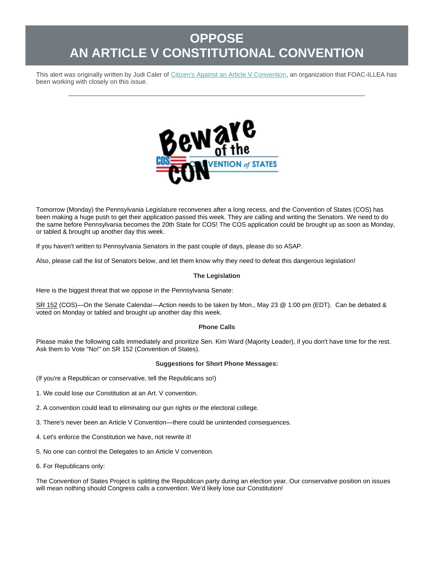# **OPPOSE AN ARTICLE V CONSTITUTIONAL CONVENTION**

This alert was originally written by Judi Caler of [Citizen's Against an Article V Convention,](https://r20.rs6.net/tn.jsp?f=001Mq-AQr2l2FDhYDhD3u1c8VJkfHVEM_GP9b12N1jqw8BCqoFq_bP0t8Gw_nfBbjDKmGG_4tOO-XT5Pnf4JzjdyrK6VaItuPbr2NwOY4vHG7M3mYm9izysRIepuZF6zigkBZV_e0QC10g=&c=x89Bz-wZxTGIvG78xwBfUVoqKg-Tb6n6uNdbgc6k7XA8UTY13wYp0g==&ch=3JiCMJQhV5fWVuOHB1SzuW0sa9QP20eM3xGRzBaspr6kw6v6gX4d7g==) an organization that FOAC-ILLEA has been working with closely on this issue.



Tomorrow (Monday) the Pennsylvania Legislature reconvenes after a long recess, and the Convention of States (COS) has been making a huge push to get their application passed this week. They are calling and writing the Senators. We need to do the same before Pennsylvania becomes the 20th State for COS! The COS application could be brought up as soon as Monday, or tabled & brought up another day this week.

If you haven't written to Pennsylvania Senators in the past couple of days, please do so ASAP.

Also, please call the list of Senators below, and let them know why they need to defeat this dangerous legislation!

# **The Legislation**

Here is the biggest threat that we oppose in the Pennsylvania Senate:

[SR 152](https://r20.rs6.net/tn.jsp?f=001Mq-AQr2l2FDhYDhD3u1c8VJkfHVEM_GP9b12N1jqw8BCqoFq_bP0tyZj8e_6rt516f5QQ3jtV04Nmk8hdriYUvCYg52RdmbhR8lOUQi97e55m5njH8M0shFt4g94E7QNSrRgGEqR54L0HTbEMGpIIfM0pI7JrZbWeMvgZ7eVOLsVIT4kbaSfaYx4PDcOpLKrohJCudqkpCW4OH4af3N8f7sTud0MyVxtnR0qtgyTGoREub9MGdYJqfYYjFtJzpzlQSyEZl3cX_Luq4JYvj6yXqf1rwEpHWj_h3ZOtN8IpD33H0Lrjjy_gEJ1HKjUiS-wVcL5nRV3d17BrUnexSpNCw==&c=x89Bz-wZxTGIvG78xwBfUVoqKg-Tb6n6uNdbgc6k7XA8UTY13wYp0g==&ch=3JiCMJQhV5fWVuOHB1SzuW0sa9QP20eM3xGRzBaspr6kw6v6gX4d7g==) (COS)—On the Senate Calendar—Action needs to be taken by Mon., May 23 @ 1:00 pm (EDT). Can be debated & voted on Monday or tabled and brought up another day this week.

# **Phone Calls**

Please make the following calls immediately and prioritize Sen. Kim Ward (Majority Leader), if you don't have time for the rest. Ask them to Vote "No!" on SR 152 (Convention of States).

# **Suggestions for Short Phone Messages:**

- (If you're a Republican or conservative, tell the Republicans so!)
- 1. We could lose our Constitution at an Art. V convention.
- 2. A convention could lead to eliminating our gun rights or the electoral college.
- 3. There's never been an Article V Convention—there could be unintended consequences.
- 4. Let's enforce the Constitution we have, not rewrite it!
- 5. No one can control the Delegates to an Article V convention.
- 6. For Republicans only:

The Convention of States Project is splitting the Republican party during an election year. Our conservative position on issues will mean nothing should Congress calls a convention. We'd likely lose our Constitution!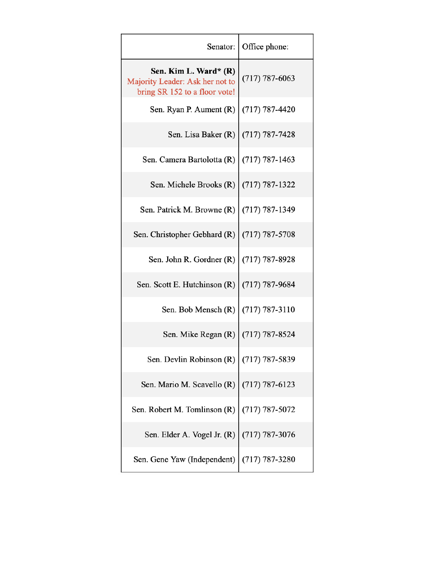| Senator:                                                                                  | Office phone:      |
|-------------------------------------------------------------------------------------------|--------------------|
| Sen. Kim L. Ward* (R)<br>Majority Leader: Ask her not to<br>bring SR 152 to a floor vote! | $(717) 787 - 6063$ |
| Sen. Ryan P. Aument (R)                                                                   | $(717) 787 - 4420$ |
| Sen. Lisa Baker (R)                                                                       | $(717) 787 - 7428$ |
| Sen. Camera Bartolotta (R)                                                                | $(717) 787 - 1463$ |
| Sen. Michele Brooks (R)                                                                   | $(717) 787 - 1322$ |
| Sen. Patrick M. Browne (R)                                                                | $(717) 787 - 1349$ |
| Sen. Christopher Gebhard (R)                                                              | $(717) 787 - 5708$ |
| Sen. John R. Gordner (R)                                                                  | $(717) 787 - 8928$ |
| Sen. Scott E. Hutchinson (R)                                                              | $(717) 787 - 9684$ |
| Sen. Bob Mensch (R)                                                                       | $(717) 787 - 3110$ |
| Sen. Mike Regan (R)                                                                       | $(717) 787 - 8524$ |
| Sen. Devlin Robinson (R)                                                                  | $(717) 787 - 5839$ |
| Sen. Mario M. Scavello (R)                                                                | $(717) 787 - 6123$ |
| Sen. Robert M. Tomlinson (R)                                                              | $(717) 787 - 5072$ |
| Sen. Elder A. Vogel Jr. (R)                                                               | $(717) 787 - 3076$ |
| Sen. Gene Yaw (Independent)                                                               | $(717) 787 - 3280$ |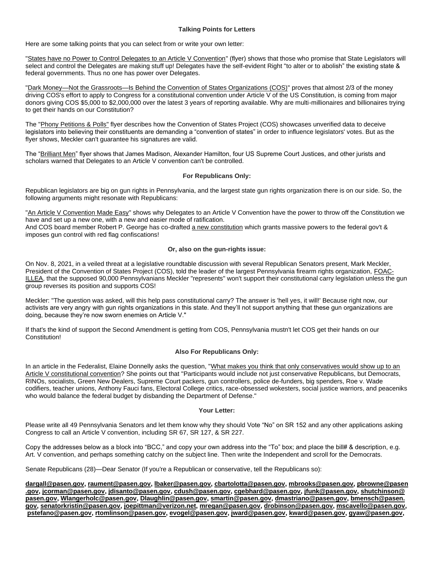## **Talking Points for Letters**

Here are some talking points that you can select from or write your own letter:

["States have no Power to Control Delegates to an Article V Convention"](https://r20.rs6.net/tn.jsp?f=001Mq-AQr2l2FDhYDhD3u1c8VJkfHVEM_GP9b12N1jqw8BCqoFq_bP0tyZj8e_6rt51qcOOwNIc4LBR556Wx5zEvGjUTnth99vxJBVUr1pm_IwM9DAZ8c2iAHhMXEKektMeb2Zi5xdEEsLNHnFHgnr1De_DGcEVNqmwXQompiNgL0ajxp9Bo2OhVfES5B8W3y-dZQxHcYw2HSIBy5svda30s4YnOLhop_ppbDWESx6ON6FKEmR8PCaMflwnThP_O_NxgjKOICAo1nkCMJ_TDMJ5NR18MTsTPP8jfSZ6MgZOPfH4wSLNKcsIBFD7uP6jHVx2rBzUMZzrU6gVvk6EVyDD0w==&c=x89Bz-wZxTGIvG78xwBfUVoqKg-Tb6n6uNdbgc6k7XA8UTY13wYp0g==&ch=3JiCMJQhV5fWVuOHB1SzuW0sa9QP20eM3xGRzBaspr6kw6v6gX4d7g==) (flyer) shows that those who promise that State Legislators will select and control the Delegates are making stuff up! Delegates have the self-evident Right "to alter or to abolish" the existing state & federal governments. Thus no one has power over Delegates.

["Dark Money—Not the Grassroots—Is Behind the Convention of States Organizations \(COS\)"](https://r20.rs6.net/tn.jsp?f=001Mq-AQr2l2FDhYDhD3u1c8VJkfHVEM_GP9b12N1jqw8BCqoFq_bP0tyZj8e_6rt51jJeBWXHDG6Qa4XDTW9GLPjNrOWpvXmVQy8_4Wbe9Pk-x8ZeVq24CgmX2cKNkwu_Qp2dmsMGlVplDrz6kiv8iQoVPWI0aX7_1pllDykKsZMFLiTSI6k0h6FaxqZKpwhbOBT4YaehxjvQL9_Jswky8Gj_509WGx0wv_stmFF0Sk2y4oHrz-Ize7WlLWWIXYGgbgGhDnz_mkb8Vxu62DcEuxHc3yRQ8YNBO3vRMfzNsrEuY2vqHnlcoYMmqyL-zYJXOlDhUdsDHXI3Rsk-ZJ8F-lg==&c=x89Bz-wZxTGIvG78xwBfUVoqKg-Tb6n6uNdbgc6k7XA8UTY13wYp0g==&ch=3JiCMJQhV5fWVuOHB1SzuW0sa9QP20eM3xGRzBaspr6kw6v6gX4d7g==) proves that almost 2/3 of the money driving COS's effort to apply to Congress for a constitutional convention under Article V of the US Constitution, is coming from major donors giving COS \$5,000 to \$2,000,000 over the latest 3 years of reporting available. Why are multi-millionaires and billionaires trying to get their hands on our Constitution?

The ["Phony Petitions & Polls"](https://r20.rs6.net/tn.jsp?f=001Mq-AQr2l2FDhYDhD3u1c8VJkfHVEM_GP9b12N1jqw8BCqoFq_bP0tyZj8e_6rt51TOZxFEkhALL1E7sqyN9wry3cPMHm-rAzr6Zo9JXPZq5TW-XfK7xgkEuTZ0IHVtg7ll_HByKfGqj6lw3ymqRV03isyPCQYaYsY7c538DEP5R_oQUDFh3I7fnQfqucmUqji0fIlVJEvhIxAJOVt2vSeL_ChH1Gev2FEFI0PX_yDBP6UPv-xy4R87wHwkt3I7IoAnLnUI94cHjyyNksPR4fmWb9KVa9pm9TWBRxghmwngBFbwgqCd00t0Ys050GvyHJYR8sem3cNt1XlKYFUgMMrQ==&c=x89Bz-wZxTGIvG78xwBfUVoqKg-Tb6n6uNdbgc6k7XA8UTY13wYp0g==&ch=3JiCMJQhV5fWVuOHB1SzuW0sa9QP20eM3xGRzBaspr6kw6v6gX4d7g==) flyer describes how the Convention of States Project (COS) showcases unverified data to deceive legislators into believing their constituents are demanding a "convention of states" in order to influence legislators' votes. But as the flyer shows, Meckler can't guarantee his signatures are valid.

The ["Brilliant Men"](https://r20.rs6.net/tn.jsp?f=001Mq-AQr2l2FDhYDhD3u1c8VJkfHVEM_GP9b12N1jqw8BCqoFq_bP0tyZj8e_6rt510EQICPrFBmBASdl-Pp0DqMySiU5DP3v2Usa0fzuy1uB0J4gejlBUB4vCWoLx533bv8yHmRkq742iswQYsh1rqnVEJWq7B4XchNXsNRnInKi9cYHi6OG8cfZOY3nYMy0xshwBKzrnbL4BDP8ey7LLllFjuNYow68a0_AVm0ri1h8LyTLHvLBFMB4ufytZGIL86CDj0aMP6LS_BZXvx0ltCT8c5rXPLrWmakFEMUTLZmVQrZjfoOh-D-v4NmU2sAAXshvZFd-M4tKXqNr7nFzvTQ==&c=x89Bz-wZxTGIvG78xwBfUVoqKg-Tb6n6uNdbgc6k7XA8UTY13wYp0g==&ch=3JiCMJQhV5fWVuOHB1SzuW0sa9QP20eM3xGRzBaspr6kw6v6gX4d7g==) flyer shows that James Madison, Alexander Hamilton, four US Supreme Court Justices, and other jurists and scholars warned that Delegates to an Article V convention can't be controlled.

# **For Republicans Only:**

Republican legislators are big on gun rights in Pennsylvania, and the largest state gun rights organization there is on our side. So, the following arguments might resonate with Republicans:

["An Article V Convention Made Easy"](https://r20.rs6.net/tn.jsp?f=001Mq-AQr2l2FDhYDhD3u1c8VJkfHVEM_GP9b12N1jqw8BCqoFq_bP0tyZj8e_6rt51SAKrlGicbtUG54HuPhTbpoaYWp0ycNznUaaVrd5BAzM5qLarUxuJ9IRojSyhlrHWJ9HiYKhnQLvBZ6tq0dd_ag8tWSn_FrJ1FQ3cx1Trri1g2wouaKVDnX4omQwsxcJEYaQV4yp5HPKJRJnCnRctRf77hre0iaAFB2UPx4eWOSvBMt9zYsM4xlvOSaf9OjJuJFKbdy-AE87hvZ_uD-eeHNBjac7YqfF62lKsvOnHY8JGpqNW5upDoZKF1Q-ayI1obnAXT7WsO19fuBXsVP9Irg==&c=x89Bz-wZxTGIvG78xwBfUVoqKg-Tb6n6uNdbgc6k7XA8UTY13wYp0g==&ch=3JiCMJQhV5fWVuOHB1SzuW0sa9QP20eM3xGRzBaspr6kw6v6gX4d7g==) shows why Delegates to an Article V Convention have the power to throw off the Constitution we have and set up a new one, with a new and easier mode of ratification.

And COS board member Robert P. George has co-drafted [a new constitution](https://r20.rs6.net/tn.jsp?f=001Mq-AQr2l2FDhYDhD3u1c8VJkfHVEM_GP9b12N1jqw8BCqoFq_bP0tyZj8e_6rt51upyJ1TqiV2cLB6KPd0h1TlZQLpAMw5l6xOm-nkya5aDZGvlFqagr4nDucww_ofdMx8jjLBCP7tFMyzRbD7Pcp67M4ralavXI-l9zle01s5kmgB9Pn-gHIYTLvMh3iV-w0wn4HIPV1DDmoU0XSnLI7XrX0cw-Yg8AiTY6c9qp7HeDuI9S8gQ94oVr_Pb7adaEpnMSbG8vgO_JM1xIdePMo_5XbQpmJl8mCmkzfW9XvNV4JvtArZu8_KhUXhW3E67wdXNVr2FYubw_tYRRSNLS-Q==&c=x89Bz-wZxTGIvG78xwBfUVoqKg-Tb6n6uNdbgc6k7XA8UTY13wYp0g==&ch=3JiCMJQhV5fWVuOHB1SzuW0sa9QP20eM3xGRzBaspr6kw6v6gX4d7g==) which grants massive powers to the federal gov't & imposes gun control with red flag confiscations!

# **Or, also on the gun-rights issue:**

On Nov. 8, 2021, in a veiled threat at a legislative roundtable discussion with several Republican Senators present, Mark Meckler, President of the Convention of States Project (COS), told the leader of the largest Pennsylvania firearm rights organization, [FOAC-](https://r20.rs6.net/tn.jsp?f=001Mq-AQr2l2FDhYDhD3u1c8VJkfHVEM_GP9b12N1jqw8BCqoFq_bP0tyZj8e_6rt515cMHsD_Wd1UZIJfpVhZ5sGc0gkAd5zT4-nuf7uGuhiGQJs57Ry9tlb0vCckqvl2Tc3UNzZz1FurcZIeG4nIr8dFG1DqZY4XTflrXMUaxUky739o1MEbXV0ygrPKwrq_6tUTBCKLmJD6Xq4gkdDvgwUmyvL54_gn9i9dSPvNiKaTmGHdEs7K3Hia2IYwLaMKO14hBpx0zLr2CmRITu_QIssSp09xKJEJfWlc2DXrFD5NEDlWTcEGGOQxJrf5ptWLU5Xm9ZGQaDDdIBxkeCt0u0w==&c=x89Bz-wZxTGIvG78xwBfUVoqKg-Tb6n6uNdbgc6k7XA8UTY13wYp0g==&ch=3JiCMJQhV5fWVuOHB1SzuW0sa9QP20eM3xGRzBaspr6kw6v6gX4d7g==)[ILLEA,](https://r20.rs6.net/tn.jsp?f=001Mq-AQr2l2FDhYDhD3u1c8VJkfHVEM_GP9b12N1jqw8BCqoFq_bP0tyZj8e_6rt515cMHsD_Wd1UZIJfpVhZ5sGc0gkAd5zT4-nuf7uGuhiGQJs57Ry9tlb0vCckqvl2Tc3UNzZz1FurcZIeG4nIr8dFG1DqZY4XTflrXMUaxUky739o1MEbXV0ygrPKwrq_6tUTBCKLmJD6Xq4gkdDvgwUmyvL54_gn9i9dSPvNiKaTmGHdEs7K3Hia2IYwLaMKO14hBpx0zLr2CmRITu_QIssSp09xKJEJfWlc2DXrFD5NEDlWTcEGGOQxJrf5ptWLU5Xm9ZGQaDDdIBxkeCt0u0w==&c=x89Bz-wZxTGIvG78xwBfUVoqKg-Tb6n6uNdbgc6k7XA8UTY13wYp0g==&ch=3JiCMJQhV5fWVuOHB1SzuW0sa9QP20eM3xGRzBaspr6kw6v6gX4d7g==) that the supposed 90,000 Pennsylvanians Meckler "represents" won't support their constitutional carry legislation unless the gun group reverses its position and supports COS!

Meckler: "The question was asked, will this help pass constitutional carry? The answer is 'hell yes, it will!' Because right now, our activists are very angry with gun rights organizations in this state. And they'll not support anything that these gun organizations are doing, because they're now sworn enemies on Article V."

If that's the kind of support the Second Amendment is getting from COS, Pennsylvania mustn't let COS get their hands on our Constitution!

# **Also For Republicans Only:**

In an article in the Federalist, Elaine Donnelly asks the question, "What makes you think that only conservatives would show up to an [Article V constitutional convention?](https://r20.rs6.net/tn.jsp?f=001Mq-AQr2l2FDhYDhD3u1c8VJkfHVEM_GP9b12N1jqw8BCqoFq_bP0tyZj8e_6rt51xl1HPZwspGMLTsS4t_uKYKBjFs1tJzPf8fHNxDL4N_5ezihqtenigS1St5VdqyxKsHeHei6C5qf8KVUVSWGUgtBMb1-AeuY0rxh5mruf8GSH0Q3BXE0DivPdV2aL7SxBdOV4sHFK28P8U1G4IuRCzoH1EvG6X1UyMrELOIkm3rmXnrjOxMLcmaQWBMCHEvfNXxrGmRpxDpv1-o3W3G1WCvB1dCUMCv5_xoSD-M8IvdhRP4vS7xxHT8OMMWtLRTAx678xLWb3p31h0LrN8ddPLQ==&c=x89Bz-wZxTGIvG78xwBfUVoqKg-Tb6n6uNdbgc6k7XA8UTY13wYp0g==&ch=3JiCMJQhV5fWVuOHB1SzuW0sa9QP20eM3xGRzBaspr6kw6v6gX4d7g==) She points out that "Participants would include not just conservative Republicans, but Democrats, RINOs, socialists, Green New Dealers, Supreme Court packers, gun controllers, police de-funders, big spenders, Roe v. Wade codifiers, teacher unions, Anthony Fauci fans, Electoral College critics, race-obsessed wokesters, social justice warriors, and peaceniks who would balance the federal budget by disbanding the Department of Defense."

#### **Your Letter:**

Please write all 49 Pennsylvania Senators and let them know why they should Vote "No" on SR 152 and any other applications asking Congress to call an Article V convention, including SR 67, SR 127, & SR 227.

Copy the addresses below as a block into "BCC," and copy your own address into the "To" box; and place the bill# & description, e.g. Art. V convention, and perhaps something catchy on the subject line. Then write the Independent and scroll for the Democrats.

Senate Republicans (28)—Dear Senator (If you're a Republican or conservative, tell the Republicans so):

**[dargall@pasen.gov,](mailto:dargall@pasen.gov) [raument@pasen.gov,](mailto:raument@pasen.gov) [lbaker@pasen.gov,](mailto:lbaker@pasen.gov) [cbartolotta@pasen.gov,](mailto:cbartolotta@pasen.gov) [mbrooks@pasen.gov,](mailto:mbrooks@pasen.gov) [pbrowne@pasen](mailto:pbrowne@pasen.gov) [.gov,](mailto:pbrowne@pasen.gov) [jcorman@pasen.gov,](mailto:jcorman@pasen.gov) [jdisanto@pasen.gov,](mailto:jdisanto@pasen.gov) [cdush@pasen.gov,](mailto:cdush@pasen.gov) [cgebhard@pasen.gov,](mailto:cgebhard@pasen.gov) [jfunk@pasen.gov,](mailto:jfunk@pasen.gov) [shutchinson@](mailto:shutchinson@pasen.gov) [pasen.gov,](mailto:shutchinson@pasen.gov) [Wlangerholc@pasen.gov,](mailto:Wlangerholc@pasen.gov) [Dlaughlin@pasen.gov,](mailto:Dlaughlin@pasen.gov) [smartin@pasen.gov,](mailto:smartin@pasen.gov) [dmastriano@pasen.gov,](mailto:dmastriano@pasen.gov) [bmensch@pasen.](mailto:bmensch@pasen.gov) [gov,](mailto:bmensch@pasen.gov) [senatorkristin@pasen.gov,](mailto:senatorkristin@pasen.gov) [joepittman@verizon.net,](mailto:joepittman@verizon.net) [mregan@pasen.gov,](mailto:mregan@pasen.gov) [drobinson@pasen.gov,](mailto:drobinson@pasen.gov) [mscavello@pasen.gov,](mailto:mscavello@pasen.gov) [pstefano@pasen.gov,](mailto:pstefano@pasen.gov) [rtomlinson@pasen.gov,](mailto:rtomlinson@pasen.gov) [evogel@pasen.gov,](mailto:evogel@pasen.gov) [jward@pasen.gov,](mailto:jward@pasen.gov) [kward@pasen.gov,](mailto:kward@pasen.gov) [gyaw@pasen.gov,](mailto:gyaw@pasen.gov)**